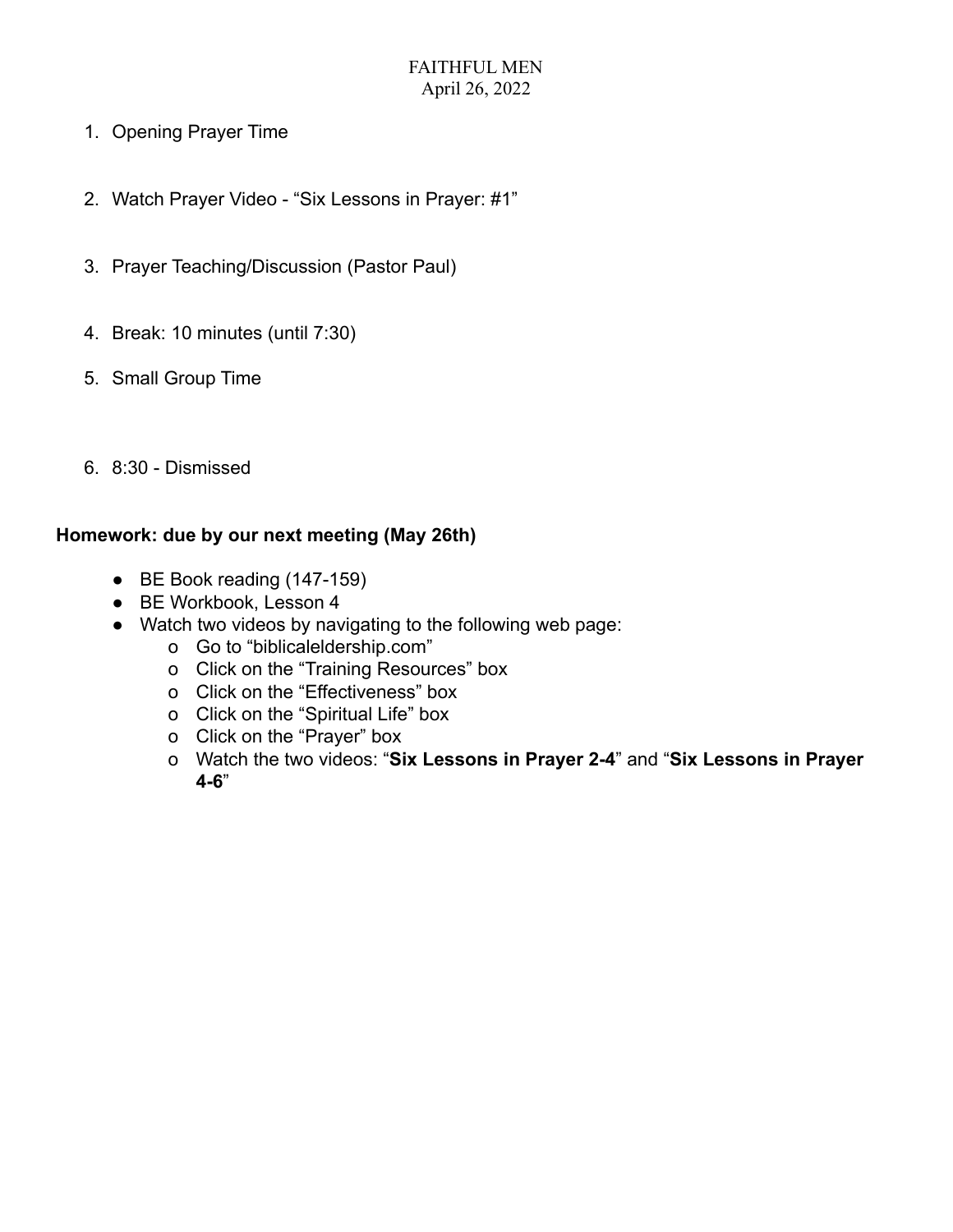- 1. Opening Prayer Time
- 2. Watch Prayer Video "Six Lessons in Prayer: #1"
- 3. Prayer Teaching/Discussion (Pastor Paul)
- 4. Break: 10 minutes (until 7:30)
- 5. Small Group Time
- 6. 8:30 Dismissed

# **Homework: due by our next meeting (May 26th)**

- BE Book reading (147-159)
- BE Workbook, Lesson 4
- Watch two videos by navigating to the following web page:
	- o Go to "biblicaleldership.com"
	- o Click on the "Training Resources" box
	- o Click on the "Effectiveness" box
	- o Click on the "Spiritual Life" box
	- o Click on the "Prayer" box
	- o Watch the two videos: "**Six Lessons in Prayer 2-4**" and "**Six Lessons in Prayer 4-6**"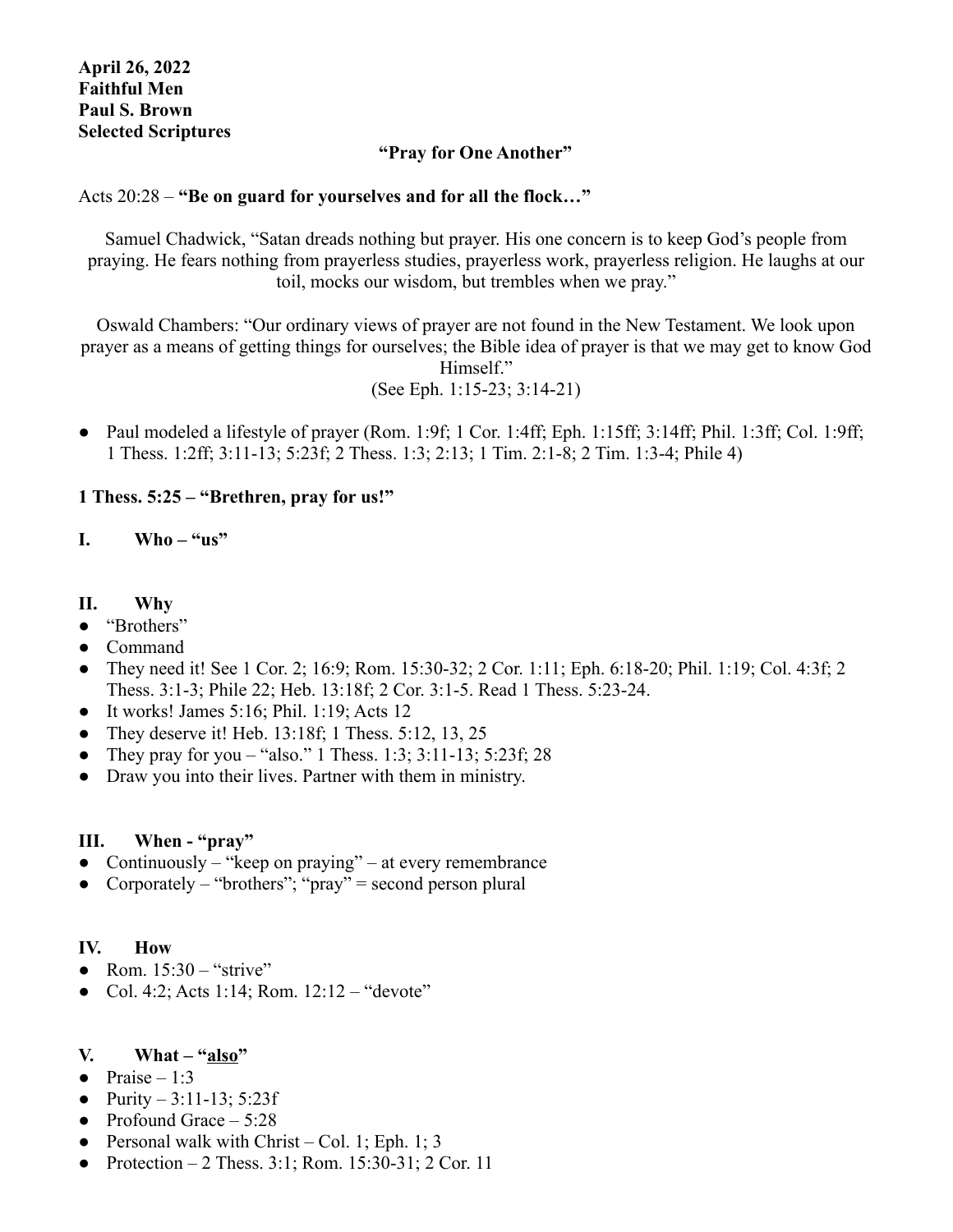### **"Pray for One Another"**

### Acts 20:28 – **"Be on guard for yourselves and for all the flock…"**

Samuel Chadwick, "Satan dreads nothing but prayer. His one concern is to keep God's people from praying. He fears nothing from prayerless studies, prayerless work, prayerless religion. He laughs at our toil, mocks our wisdom, but trembles when we pray."

Oswald Chambers: "Our ordinary views of prayer are not found in the New Testament. We look upon prayer as a means of getting things for ourselves; the Bible idea of prayer is that we may get to know God Himself." (See Eph. 1:15-23; 3:14-21)

• Paul modeled a lifestyle of prayer (Rom. 1:9f; 1 Cor. 1:4ff; Eph. 1:15ff; 3:14ff; Phil. 1:3ff; Col. 1:9ff; 1 Thess. 1:2ff; 3:11-13; 5:23f; 2 Thess. 1:3; 2:13; 1 Tim. 2:1-8; 2 Tim. 1:3-4; Phile 4)

## **1 Thess. 5:25 – "Brethren, pray for us!"**

#### **I. Who – "us"**

#### **II. Why**

- "Brothers"
- Command
- They need it! See 1 Cor. 2; 16:9; Rom. 15:30-32; 2 Cor. 1:11; Eph. 6:18-20; Phil. 1:19; Col. 4:3f; 2 Thess. 3:1-3; Phile 22; Heb. 13:18f; 2 Cor. 3:1-5. Read 1 Thess. 5:23-24.
- $\bullet$  It works! James 5:16; Phil. 1:19; Acts 12
- They deserve it! Heb. 13:18f; 1 Thess.  $5:12$ , 13, 25
- They pray for you "also." 1 Thess. 1:3; 3:11-13; 5:23f; 28
- Draw you into their lives. Partner with them in ministry.

#### **III. When - "pray"**

- Continuously "keep on praying" at every remembrance
- Corporately "brothers"; "pray" = second person plural

#### **IV. How**

- Rom.  $15:30$  "strive"
- Col. 4:2; Acts 1:14; Rom. 12:12 "devote"

## **V. What – "also"**

- Praise  $-1:3$
- **●** Purity 3:11-13; 5:23f
- **●** Profound Grace 5:28
- **●** Personal walk with Christ Col. 1; Eph. 1; 3
- **●** Protection 2 Thess. 3:1; Rom. 15:30-31; 2 Cor. 11